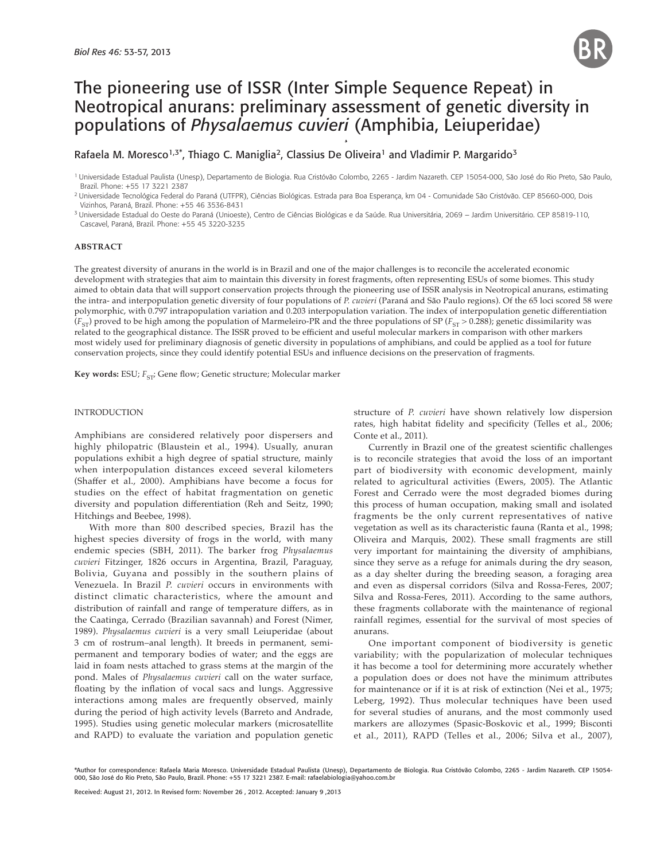

# The pioneering use of ISSR (Inter Simple Sequence Repeat) in Neotropical anurans: preliminary assessment of genetic diversity in populations of *Physalaemus cuvieri* (Amphibia, Leiuperidae)

## Rafaela M. Moresco<sup>1,3\*</sup>, Thiago C. Maniglia<sup>2</sup>, Classius De Oliveira<sup>1</sup> and Vladimir P. Margarido<sup>3</sup>

1 Universidade Estadual Paulista (Unesp), Departamento de Biologia. Rua Cristóvão Colombo, 2265 - Jardim Nazareth. CEP 15054-000, São José do Rio Preto, São Paulo, Brazil. Phone: +55 17 3221 2387

3 Universidade Estadual do Oeste do Paraná (Unioeste), Centro de Ciências Biológicas e da Saúde. Rua Universitária, 2069 – Jardim Universitário. CEP 85819-110, Cascavel, Paraná, Brazil. Phone: +55 45 3220-3235

## **ABSTRACT**

The greatest diversity of anurans in the world is in Brazil and one of the major challenges is to reconcile the accelerated economic development with strategies that aim to maintain this diversity in forest fragments, often representing ESUs of some biomes. This study aimed to obtain data that will support conservation projects through the pioneering use of ISSR analysis in Neotropical anurans, estimating the intra- and interpopulation genetic diversity of four populations of *P. cuvieri* (Paraná and São Paulo regions). Of the 65 loci scored 58 were polymorphic, with 0.797 intrapopulation variation and 0.203 interpopulation variation. The index of interpopulation genetic differentiation  $(F<sub>ST</sub>)$  proved to be high among the population of Marmeleiro-PR and the three populations of SP ( $F<sub>ST</sub>$  > 0.288); genetic dissimilarity was related to the geographical distance. The ISSR proved to be efficient and useful molecular markers in comparison with other markers most widely used for preliminary diagnosis of genetic diversity in populations of amphibians, and could be applied as a tool for future conservation projects, since they could identify potential ESUs and influence decisions on the preservation of fragments.

**Key words:** ESU;  $F_{ST}$ ; Gene flow; Genetic structure; Molecular marker

## INTRODUCTION

Amphibians are considered relatively poor dispersers and highly philopatric (Blaustein et al., 1994). Usually, anuran populations exhibit a high degree of spatial structure, mainly when interpopulation distances exceed several kilometers (Shaffer et al., 2000). Amphibians have become a focus for studies on the effect of habitat fragmentation on genetic diversity and population differentiation (Reh and Seitz, 1990; Hitchings and Beebee, 1998).

With more than 800 described species, Brazil has the highest species diversity of frogs in the world, with many endemic species (SBH, 2011). The barker frog *Physalaemus cuvieri* Fitzinger, 1826 occurs in Argentina, Brazil, Paraguay, Bolivia, Guyana and possibly in the southern plains of Venezuela. In Brazil *P. cuvieri* occurs in environments with distinct climatic characteristics, where the amount and distribution of rainfall and range of temperature differs, as in the Caatinga, Cerrado (Brazilian savannah) and Forest (Nimer, 1989). *Physalaemus cuvieri* is a very small Leiuperidae (about 3 cm of rostrum–anal length). It breeds in permanent, semipermanent and temporary bodies of water; and the eggs are laid in foam nests attached to grass stems at the margin of the pond. Males of *Physalaemus cuvieri* call on the water surface, floating by the inflation of vocal sacs and lungs. Aggressive interactions among males are frequently observed, mainly during the period of high activity levels (Barreto and Andrade, 1995). Studies using genetic molecular markers (microsatellite and RAPD) to evaluate the variation and population genetic structure of *P. cuvieri* have shown relatively low dispersion rates, high habitat fidelity and specificity (Telles et al., 2006; Conte et al., 2011).

Currently in Brazil one of the greatest scientific challenges is to reconcile strategies that avoid the loss of an important part of biodiversity with economic development, mainly related to agricultural activities (Ewers, 2005). The Atlantic Forest and Cerrado were the most degraded biomes during this process of human occupation, making small and isolated fragments be the only current representatives of native vegetation as well as its characteristic fauna (Ranta et al., 1998; Oliveira and Marquis, 2002). These small fragments are still very important for maintaining the diversity of amphibians, since they serve as a refuge for animals during the dry season, as a day shelter during the breeding season, a foraging area and even as dispersal corridors (Silva and Rossa-Feres, 2007; Silva and Rossa-Feres, 2011). According to the same authors, these fragments collaborate with the maintenance of regional rainfall regimes, essential for the survival of most species of anurans.

One important component of biodiversity is genetic variability; with the popularization of molecular techniques it has become a tool for determining more accurately whether a population does or does not have the minimum attributes for maintenance or if it is at risk of extinction (Nei et al., 1975; Leberg, 1992). Thus molecular techniques have been used for several studies of anurans, and the most commonly used markers are allozymes (Spasic-Boskovic et al., 1999; Bisconti et al., 2011), RAPD (Telles et al., 2006; Silva et al., 2007),

<sup>2</sup> Universidade Tecnológica Federal do Paraná (UTFPR), Ciências Biológicas. Estrada para Boa Esperança, km 04 - Comunidade São Cristóvão. CEP 85660-000, Dois Vizinhos, Paraná, Brazil. Phone: +55 46 3536-8431

<sup>\*</sup>Author for correspondence: Rafaela Maria Moresco. Universidade Estadual Paulista (Unesp), Departamento de Biologia. Rua Cristóvão Colombo, 2265 - Jardim Nazareth. CEP 15054- 000, São José do Rio Preto, São Paulo, Brazil. Phone: +55 17 3221 2387. E-mail: rafaelabiologia@yahoo.com.br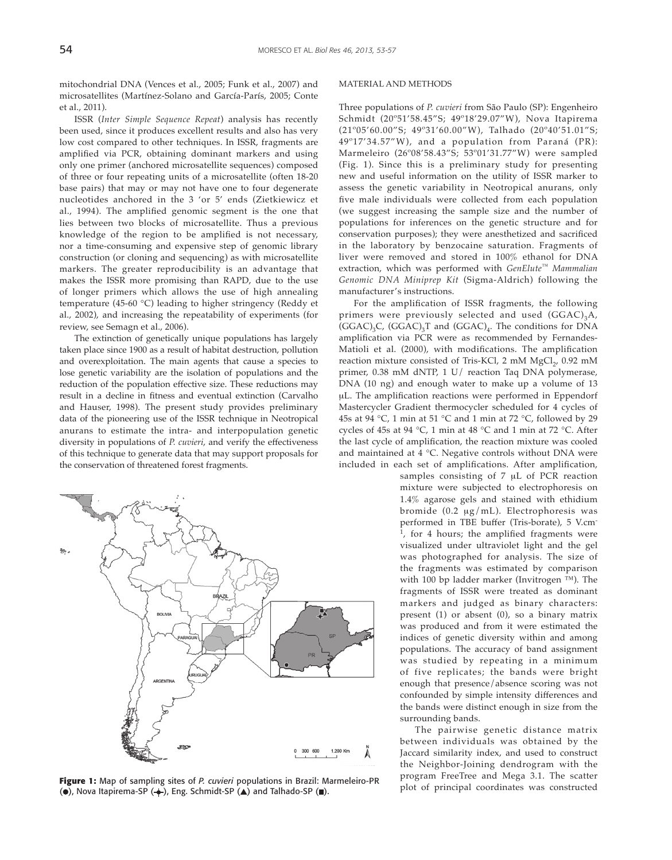mitochondrial DNA (Vences et al., 2005; Funk et al., 2007) and microsatellites (Martínez-Solano and García-París, 2005; Conte et al., 2011).

ISSR (*Inter Simple Sequence Repeat*) analysis has recently been used, since it produces excellent results and also has very low cost compared to other techniques. In ISSR, fragments are amplified via PCR, obtaining dominant markers and using only one primer (anchored microsatellite sequences) composed of three or four repeating units of a microsatellite (often 18-20 base pairs) that may or may not have one to four degenerate nucleotides anchored in the 3 'or 5' ends (Zietkiewicz et al., 1994). The amplified genomic segment is the one that lies between two blocks of microsatellite. Thus a previous knowledge of the region to be amplified is not necessary, nor a time-consuming and expensive step of genomic library construction (or cloning and sequencing) as with microsatellite markers. The greater reproducibility is an advantage that makes the ISSR more promising than RAPD, due to the use of longer primers which allows the use of high annealing temperature (45-60 °C) leading to higher stringency (Reddy et al., 2002), and increasing the repeatability of experiments (for review, see Semagn et al., 2006).

The extinction of genetically unique populations has largely taken place since 1900 as a result of habitat destruction, pollution and overexploitation. The main agents that cause a species to lose genetic variability are the isolation of populations and the reduction of the population effective size. These reductions may result in a decline in fitness and eventual extinction (Carvalho and Hauser, 1998). The present study provides preliminary data of the pioneering use of the ISSR technique in Neotropical anurans to estimate the intra- and interpopulation genetic diversity in populations of *P. cuvieri*, and verify the effectiveness of this technique to generate data that may support proposals for the conservation of threatened forest fragments.



**Figure 1:** Map of sampling sites of *P. cuvieri* populations in Brazil: Marmeleiro-PR Program Free ree and Mega 3.1. The scatter  $\binom{a}{k}$  Represented  $\binom{a}{k}$  Represented and Talhado-SP  $\binom{a}{k}$  and Talhado-SP  $\binom{$ ( $\bullet$ ), Nova Itapirema-SP ( $\leftrightarrow$ ), Eng. Schmidt-SP ( $\blacktriangle$ ) and Talhado-SP ( $\blacksquare$ ).

#### MATERIAL AND METHODS

Three populations of *P. cuvieri* from São Paulo (SP): Engenheiro Schmidt (20º51'58.45"S; 49º18'29.07"W), Nova Itapirema (21º05'60.00"S; 49º31'60.00"W), Talhado (20º40'51.01"S; 49º17'34.57"W), and a population from Paraná (PR): Marmeleiro (26º08'58.43"S; 53º01'31.77"W) were sampled (Fig. 1). Since this is a preliminary study for presenting new and useful information on the utility of ISSR marker to assess the genetic variability in Neotropical anurans, only five male individuals were collected from each population (we suggest increasing the sample size and the number of populations for inferences on the genetic structure and for conservation purposes); they were anesthetized and sacrificed in the laboratory by benzocaine saturation. Fragments of liver were removed and stored in 100% ethanol for DNA extraction, which was performed with *GenElute*™ *Mammalian Genomic DNA Miniprep Kit* (Sigma-Aldrich) following the manufacturer's instructions.

For the amplification of ISSR fragments, the following primers were previously selected and used  $(GGAC)<sub>3</sub>A$ ,  $(GGAC)_3C$ ,  $(GGAC)_3T$  and  $(GGAC)_4$ . The conditions for DNA amplification via PCR were as recommended by Fernandes-Matioli et al. (2000), with modifications. The amplification reaction mixture consisted of Tris-KCl, 2 mM MgCl<sub>2</sub>, 0.92 mM primer, 0.38 mM dNTP, 1 U/ reaction Taq DNA polymerase, DNA (10 ng) and enough water to make up a volume of 13 μL. The amplification reactions were performed in Eppendorf Mastercycler Gradient thermocycler scheduled for 4 cycles of 45s at 94 °C, 1 min at 51 °C and 1 min at 72 °C, followed by 29 cycles of 45s at 94 °C, 1 min at 48 °C and 1 min at 72 °C. After the last cycle of amplification, the reaction mixture was cooled and maintained at 4 °C. Negative controls without DNA were included in each set of amplifications. After amplification,

> samples consisting of 7 μL of PCR reaction mixture were subjected to electrophoresis on 1.4% agarose gels and stained with ethidium bromide (0.2 μg/mL). Electrophoresis was performed in TBE buffer (Tris-borate), 5 V.cm- $\frac{1}{1}$ , for 4 hours; the amplified fragments were visualized under ultraviolet light and the gel was photographed for analysis. The size of the fragments was estimated by comparison with 100 bp ladder marker (Invitrogen ™). The fragments of ISSR were treated as dominant markers and judged as binary characters: present (1) or absent (0), so a binary matrix was produced and from it were estimated the indices of genetic diversity within and among populations. The accuracy of band assignment was studied by repeating in a minimum of five replicates; the bands were bright enough that presence/absence scoring was not confounded by simple intensity differences and the bands were distinct enough in size from the surrounding bands.

The pairwise genetic distance matrix between individuals was obtained by the Jaccard similarity index, and used to construct the Neighbor-Joining dendrogram with the program FreeTree and Mega 3.1. The scatter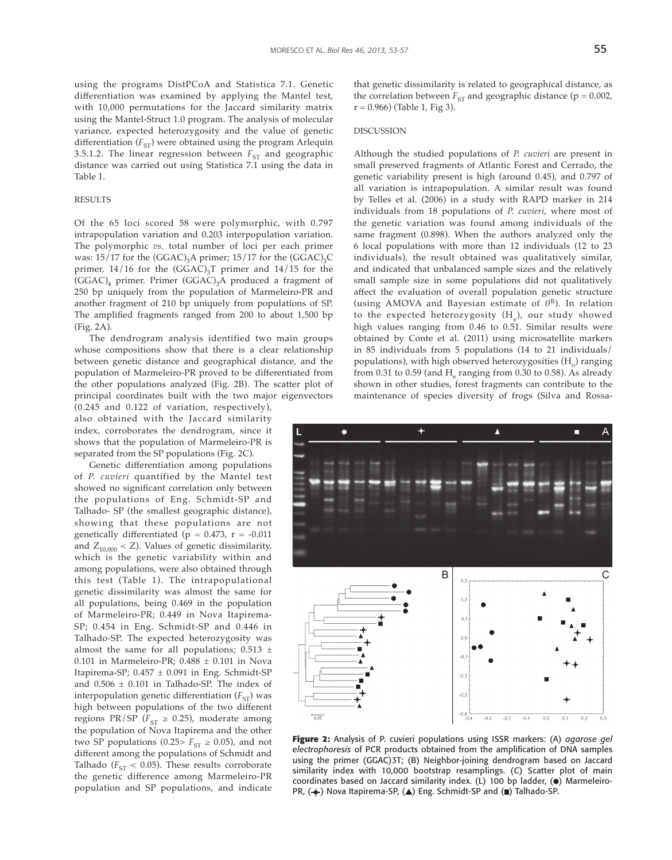using the programs DistPCoA and Statistica 7.1. Genetic differentiation was examined by applying the Mantel test, with 10,000 permutations for the Jaccard similarity matrix using the Mantel-Struct 1.0 program. The analysis of molecular variance, expected heterozygosity and the value of genetic differentiation  $(F_{ST})$  were obtained using the program Arlequin 3.5.1.2. The linear regression between  $F_{ST}$  and geographic distance was carried out using Statistica 7.1 using the data in Table 1.

#### RESULTS

Of the 65 loci scored 58 were polymorphic, with 0.797 intrapopulation variation and 0.203 interpopulation variation. The polymorphic *vs.* total number of loci per each primer was:  $15/17$  for the (GGAC)<sub>3</sub>A primer;  $15/17$  for the (GGAC)<sub>3</sub>C primer,  $14/16$  for the (GGAC)<sub>3</sub>T primer and  $14/15$  for the  $(GGAC)<sub>4</sub>$  primer. Primer  $(GGAC)<sub>3</sub>A$  produced a fragment of 250 bp uniquely from the population of Marmeleiro-PR and another fragment of 210 bp uniquely from populations of SP. The amplified fragments ranged from 200 to about 1,500 bp (Fig. 2A).

The dendrogram analysis identified two main groups whose compositions show that there is a clear relationship between genetic distance and geographical distance, and the population of Marmeleiro-PR proved to be differentiated from the other populations analyzed (Fig. 2B). The scatter plot of principal coordinates built with the two major eigenvectors

(0.245 and 0.122 of variation, respectively), also obtained with the Jaccard similarity index, corroborates the dendrogram, since it shows that the population of Marmeleiro-PR is separated from the SP populations (Fig. 2C).

Genetic differentiation among populations of *P. cuvieri* quantified by the Mantel test showed no significant correlation only between the populations of Eng. Schmidt-SP and Talhado- SP (the smallest geographic distance), showing that these populations are not genetically differentiated ( $p = 0.473$ ,  $r = -0.011$ and  $Z_{10,000}$  < Z). Values of genetic dissimilarity, which is the genetic variability within and among populations, were also obtained through this test (Table 1). The intrapopulational genetic dissimilarity was almost the same for all populations, being 0.469 in the population of Marmeleiro-PR; 0.449 in Nova Itapirema-SP; 0.454 in Eng. Schmidt-SP and 0.446 in Talhado-SP. The expected heterozygosity was almost the same for all populations;  $0.513 \pm$ 0.101 in Marmeleiro-PR;  $0.488 \pm 0.101$  in Nova Itapirema-SP;  $0.457 \pm 0.091$  in Eng. Schmidt-SP and  $0.506 \pm 0.101$  in Talhado-SP. The index of interpopulation genetic differentiation  $(F_{ST})$  was high between populations of the two different regions PR/SP ( $F_{ST} \ge 0.25$ ), moderate among the population of Nova Itapirema and the other two SP populations (0.25>  $F_{ST} \ge 0.05$ ), and not different among the populations of Schmidt and Talhado ( $F_{ST}$  < 0.05). These results corroborate the genetic difference among Marmeleiro-PR population and SP populations, and indicate that genetic dissimilarity is related to geographical distance, as the correlation between  $F_{ST}$  and geographic distance ( $p = 0.002$ ,  $r = 0.966$ ) (Table 1, Fig 3).

#### DISCUSSION

Although the studied populations of *P. cuvieri* are present in small preserved fragments of Atlantic Forest and Cerrado, the genetic variability present is high (around 0.45), and 0.797 of all variation is intrapopulation. A similar result was found by Telles et al. (2006) in a study with RAPD marker in 214 individuals from 18 populations of *P. cuvieri*, where most of the genetic variation was found among individuals of the same fragment (0.898). When the authors analyzed only the 6 local populations with more than 12 individuals (12 to 23 individuals), the result obtained was qualitatively similar, and indicated that unbalanced sample sizes and the relatively small sample size in some populations did not qualitatively affect the evaluation of overall population genetic structure (using AMOVA and Bayesian estimate of *θ*B). In relation to the expected heterozygosity  $(H_e)$ , our study showed high values ranging from 0.46 to 0.51. Similar results were obtained by Conte et al. (2011) using microsatellite markers in 85 individuals from 5 populations (14 to 21 individuals/ populations), with high observed heterozygosities  $(H_0)$  ranging from 0.31 to 0.59 (and  $H<sub>e</sub>$  ranging from 0.30 to 0.58). As already shown in other studies, forest fragments can contribute to the maintenance of species diversity of frogs (Silva and Rossa-



**Figure 2:** Analysis of P. cuvieri populations using ISSR markers: (A) *agarose gel electrophoresis* of PCR products obtained from the amplification of DNA samples using the primer (GGAC)3T; (B) Neighbor-joining dendrogram based on Jaccard similarity index with 10,000 bootstrap resamplings. (C) Scatter plot of main coordinates based on Jaccard similarity index. (L) 100 bp ladder, (.) Marmeleiro-PR,  $(\clubsuit)$  Nova Itapirema-SP,  $(\triangle)$  Eng. Schmidt-SP and  $(\blacksquare)$  Talhado-SP.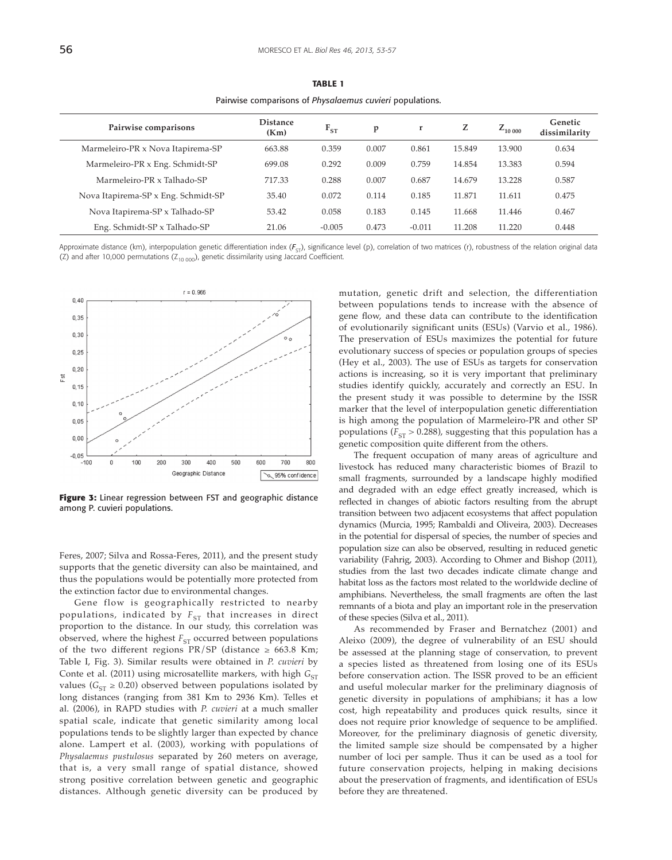| Pairwise comparisons                | <b>Distance</b><br>(Km) | $F_{ST}$ | p     | $\mathbf{r}$ | Z      | $Z_{10\,000}$ | Genetic<br>dissimilarity |
|-------------------------------------|-------------------------|----------|-------|--------------|--------|---------------|--------------------------|
| Marmeleiro-PR x Nova Itapirema-SP   | 663.88                  | 0.359    | 0.007 | 0.861        | 15.849 | 13.900        | 0.634                    |
| Marmeleiro-PR x Eng. Schmidt-SP     | 699.08                  | 0.292    | 0.009 | 0.759        | 14.854 | 13.383        | 0.594                    |
| Marmeleiro-PR x Talhado-SP          | 717.33                  | 0.288    | 0.007 | 0.687        | 14.679 | 13.228        | 0.587                    |
| Nova Itapirema-SP x Eng. Schmidt-SP | 35.40                   | 0.072    | 0.114 | 0.185        | 11.871 | 11.611        | 0.475                    |
| Nova Itapirema-SP x Talhado-SP      | 53.42                   | 0.058    | 0.183 | 0.145        | 11.668 | 11.446        | 0.467                    |
| Eng. Schmidt-SP x Talhado-SP        | 21.06                   | $-0.005$ | 0.473 | $-0.011$     | 11.208 | 11.220        | 0.448                    |

**TABLE 1** Pairwise comparisons of *Physalaemus cuvieri* populations.

Approximate distance (km), interpopulation genetic differentiation index ( $F_{\text{cr}}$ ), significance level (p), correlation of two matrices (r), robustness of the relation original data (Z) and after 10,000 permutations ( $Z_{10\,000}$ ), genetic dissimilarity using Jaccard Coefficient.



**Figure 3:** Linear regression between FST and geographic distance among P. cuvieri populations.

Feres, 2007; Silva and Rossa-Feres, 2011), and the present study supports that the genetic diversity can also be maintained, and thus the populations would be potentially more protected from the extinction factor due to environmental changes.

Gene flow is geographically restricted to nearby populations, indicated by  $F_{ST}$  that increases in direct proportion to the distance. In our study, this correlation was observed, where the highest  $F_{ST}$  occurred between populations of the two different regions PR/SP (distance  $\geq$  663.8 Km; Table I, Fig. 3). Similar results were obtained in *P. cuvieri* by Conte et al. (2011) using microsatellite markers, with high  $G_{ST}$ values ( $G_{ST} \geq 0.20$ ) observed between populations isolated by long distances (ranging from 381 Km to 2936 Km). Telles et al. (2006), in RAPD studies with *P. cuvieri* at a much smaller spatial scale, indicate that genetic similarity among local populations tends to be slightly larger than expected by chance alone. Lampert et al. (2003), working with populations of *Physalaemus pustulosus* separated by 260 meters on average, that is, a very small range of spatial distance, showed strong positive correlation between genetic and geographic distances. Although genetic diversity can be produced by mutation, genetic drift and selection, the differentiation between populations tends to increase with the absence of gene flow, and these data can contribute to the identification of evolutionarily significant units (ESUs) (Varvio et al., 1986). The preservation of ESUs maximizes the potential for future evolutionary success of species or population groups of species (Hey et al., 2003). The use of ESUs as targets for conservation actions is increasing, so it is very important that preliminary studies identify quickly, accurately and correctly an ESU. In the present study it was possible to determine by the ISSR marker that the level of interpopulation genetic differentiation is high among the population of Marmeleiro-PR and other SP populations ( $F_{ST}$  > 0.288), suggesting that this population has a genetic composition quite different from the others.

The frequent occupation of many areas of agriculture and livestock has reduced many characteristic biomes of Brazil to small fragments, surrounded by a landscape highly modified and degraded with an edge effect greatly increased, which is reflected in changes of abiotic factors resulting from the abrupt transition between two adjacent ecosystems that affect population dynamics (Murcia, 1995; Rambaldi and Oliveira, 2003). Decreases in the potential for dispersal of species, the number of species and population size can also be observed, resulting in reduced genetic variability (Fahrig, 2003). According to Ohmer and Bishop (2011), studies from the last two decades indicate climate change and habitat loss as the factors most related to the worldwide decline of amphibians. Nevertheless, the small fragments are often the last remnants of a biota and play an important role in the preservation of these species (Silva et al., 2011).

As recommended by Fraser and Bernatchez (2001) and Aleixo (2009), the degree of vulnerability of an ESU should be assessed at the planning stage of conservation, to prevent a species listed as threatened from losing one of its ESUs before conservation action. The ISSR proved to be an efficient and useful molecular marker for the preliminary diagnosis of genetic diversity in populations of amphibians; it has a low cost, high repeatability and produces quick results, since it does not require prior knowledge of sequence to be amplified. Moreover, for the preliminary diagnosis of genetic diversity, the limited sample size should be compensated by a higher number of loci per sample. Thus it can be used as a tool for future conservation projects, helping in making decisions about the preservation of fragments, and identification of ESUs before they are threatened.